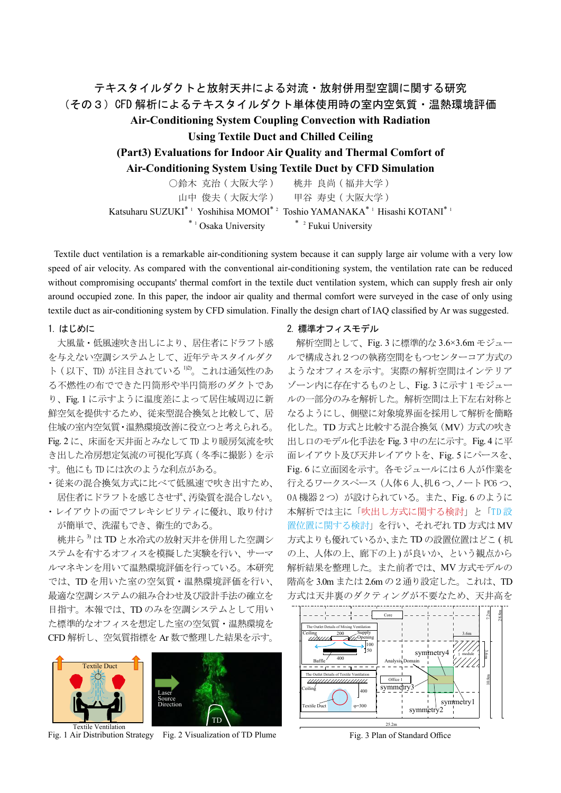# テキスタイルダクトと放射天井による対流・放射併用型空調に関する研究 (その3)CFD 解析によるテキスタイルダクト単体使用時の室内空気質・温熱環境評価 **Air-Conditioning System Coupling Convection with Radiation Using Textile Duct and Chilled Ceiling (Part3) Evaluations for Indoor Air Quality and Thermal Comfort of Air-Conditioning System Using Textile Duct by CFD Simulation** ○鈴木 克治 (大阪大学) 桃井 良尚 (福井大学) 山中 俊夫 ( 大阪大学) 甲谷 寿史 ( 大阪大学) Katsuharu SUZUKI $^*$   $^1$  Yoshihisa MOMOI $^*$   $^2$  Toshio YAMANAKA $^*$   $^1$  Hisashi KOTANI $^*$   $^1$

 $*$ <sup>1</sup> Osaka University  $*$ <sup>2</sup> Fukui University

Textile duct ventilation is a remarkable air-conditioning system because it can supply large air volume with a very low speed of air velocity. As compared with the conventional air-conditioning system, the ventilation rate can be reduced without compromising occupants' thermal comfort in the textile duct ventilation system, which can supply fresh air only around occupied zone. In this paper, the indoor air quality and thermal comfort were surveyed in the case of only using textile duct as air-conditioning system by CFD simulation. Finally the design chart of IAQ classified by Ar was suggested.

## 1. はじめに

大風量・低風速吹き出しにより、居住者にドラフト感 を与えない空調システムとして、近年テキスタイルダク これは通気性のあ)。2)1 が注目されている) TD、以下 ( ト る不燃性の布でできた円筒形や半円筒形のダクトであ り、Fig.1に示すように温度差によって居住域周辺に新 鮮空気を提供するため、従来型混合換気と比較して、居 住域の室内空気質・温熱環境改善に役立つと考えられる。 Fig. 2に、床面を天井面とみなしてTD より暖房気流を吹 き出した冷房想定気流の可視化写真 (冬季に撮影)を示 す。他にもTDには次のような利点がある。

· 従来の混合換気方式に比べて低風速で吹き出すため、 居住者にドラフトを感じさせず、汚染質を混合しない。

・レイアウトの面でフレキシビリティに優れ、取り付け が簡単で、洗濯もでき、衛生的である。

桃井ら<sup>3</sup>)はTDと水冷式の放射天井を併用した空調シ ステムを有するオフィスを模擬した実験を行い、サーマ ルマネキンを用いて温熱環境評価を行っている。本研究 では、TDを用いた室の空気質·温熱環境評価を行い、 最適な空調システムの組み合わせ及び設計手法の確立を 目指す。本報では、TDのみを空調システムとして用い た標準的なオフィスを想定した室の空気質・温熱環境を CFD 解析し、空気質指標を Ar 数で整理した結果を示す。





Fig. 1 Air Distribution Strategy Fig. 2 Visualization of TD Plume

## 2. 標準オフィスモデル

解析空間として、Fig. 3 に標準的な 3.6×3.6m モジュー ルで構成され2つの執務空間をもつセンターコア方式の ようなオフィスを示す。実際の解析空間はインテリア ゾーン内に存在するものとし、Fig. 3 に示す1 モジュー ルの一部分のみを解析した。解析空間は上下左右対称と なるようにし、側壁に対象境界面を採用して解析を簡略 化した。TD方式と比較する混合換気 (MV)方式の吹き 出し口のモデル化手法を Fig. 3 中の左に示す。 Fig. 4 に平 面レイアウト及び天井レイアウトを、Fig. 5 にパースを、 Fig. 6に立面図を示す。各モジュールには6人が作業を 行えるワークスペース (人体6人、机6つ、ノートPC6つ、 0A 機器 2 つ) が設けられている。また、Fig. 6 のように 本解析では主に「吹出し方式に関する検討」と「TD設 置位置に関する検討」を行い、それぞれ TD 方式は MV 方式よりも優れているか、また TD の設置位置はどこ(机 の上、人体の上、廊下の上)が良いか、という観点から 解析結果を整理した。また前者では、MV方式モデルの 階高を 3.0m または 2.6m の2通り設定した。これは、TD 方式は天井裏のダクティングが不要なため、天井高を



Fig. 3 Plan of Standard Office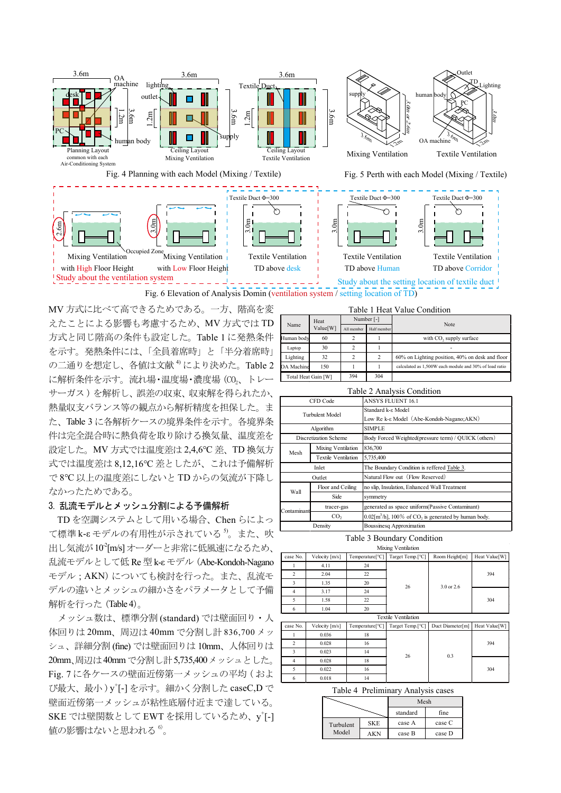

Fig. 6 Elevation of Analysis Domin (ventilation system / setting location of TD)

MV方式に比べて高できるためである。一方、階高を変 えたことによる影響も考慮するため、MV方式ではTD 方式と同じ階高の条件も設定した。Table 1 に発熱条件 を示す。発熱条件には、「全員着席時」と「半分着席時」 の二通りを想定し、各値は文献<sup>4)</sup>により決めた。Table 2 に解析条件を示す。流れ場·温度場·濃度場 (CO。、トレー サーガス)を解析し、誤差の収束、収束解を得られたか、 熱量収支バランス等の観点から解析精度を担保した。ま た、Table 3 に各解析ケースの境界条件を示す。各境界条 件は完全混合時に熱負荷を取り除ける換気量、温度差を 設定した。MV 方式では温度差は 2,4,6℃ 差、TD 換気方 式では温度差は8,12,16℃差としたが、これは予備解析 で8℃以上の温度差にしないと TD からの気流が下降し 。なかったためである

### 3. 乱流モデルとメッシュ分割による予備解析

TDを空調システムとして用いる場合、Chen らによっ  $\tau$ 標準  $k$ - $\varepsilon$ モデルの有用性が示されている $^{5)}$ 。また、吹 出し気流が10<sup>2</sup>[m/s]オーダーと非常に低風速になるため、 乱流モデルとして低 Re 型 k-ε モデル (Abe-Kondoh-Nagano モデル; AKN)についても検討を行った。また、乱流モ デルの違いとメッシュの細かさをパラメータとして予備 解析を行った (Table 4)。

メッシュ数は、標準分割 (standard) では壁面回り・人 体回りは20mm、周辺は40mmで分割し計 836,700 メッ シュ、詳細分割(fine) では壁面回りは10mm、人体回りは 20mm、周辺は40mmで分割し計5,735,400メッシュとした。 Fig. 7 に各ケースの壁面近傍第一メッシュの平均 (およ び最大、最小)y+[-]を示す。細かく分割した caseC,D で 壁面近傍第一メッシュが粘性底層付近まで達している。 SKE では壁関数として EWT を採用しているため、y<sup>+</sup>[-] 値の影響はないと思われる<sup>6</sup>。

| Table 1 Heat Value Condition |                  |            |                |                                                        |
|------------------------------|------------------|------------|----------------|--------------------------------------------------------|
| Name                         | Heat<br>Value[W] | Number [-] |                | <b>Note</b>                                            |
|                              |                  | All member | Half member    |                                                        |
| Human body                   | 60               | 2          |                | with CO <sub>2</sub> supply surface                    |
| Laptop                       | 30               | 2          |                | $\overline{\phantom{0}}$                               |
| Lighting                     | 32               | 2          | $\overline{c}$ | $60\%$ on Lighting position, $40\%$ on desk and floor  |
| OA Machine                   | 150              |            |                | calculated as 1.500W each module and 30% of load ratio |
| Total Heat Gain [W]          |                  | 394        | 304            |                                                        |

|             |                       | Table 2 Analysis Condition                                                   |  |
|-------------|-----------------------|------------------------------------------------------------------------------|--|
| CFD Code    |                       | <b>ANSYS FLUENT 16.1</b>                                                     |  |
|             | Turbulent Model       | Standard k-ε Model<br>Low Re k-ε Model (Abe-Kondoh-Nagano;AKN)               |  |
|             | Algorithm             | <b>SIMPLE</b>                                                                |  |
|             | Discretization Scheme | Body Forced Weighted(pressure term) / QUICK (others)                         |  |
| Mesh        | Mixing Ventilation    | 836,700                                                                      |  |
|             | Textile Ventilation   | 5.735,400                                                                    |  |
|             | Inlet                 | The Boundary Condition is reffered Table 3.                                  |  |
|             | Outlet                | Natural Flow out (Flow Reserved)                                             |  |
| Wall        | Floor and Ceiling     | no slip, Insulation, Enhanced Wall Treatment                                 |  |
|             | Side                  | symmetry                                                                     |  |
| Contaminant | tracer-gas            | generated as space uniform(Passive Contaminant)                              |  |
|             | CO <sub>2</sub>       | $0.02\mathrm{[m^3/h]}$ , 100% of CO <sub>2</sub> is generated by human body. |  |
| Density     |                       | <b>Boussinesq Approximation</b>                                              |  |

### Table 3 Boundary Condition

|  | Mixing Ventilation |                                                                                                 |  |
|--|--------------------|-------------------------------------------------------------------------------------------------|--|
|  |                    | case No.   Velocity [m/s]   Temperature[°C]   Target Temp.[°C]   Room Height[m]   Heat Value[W] |  |

| .                          | 1.90000111100001 |                 | $1.01 \times 10.01$ | $1000 \text{ m}$ | $110011 + 011001111$ |  |
|----------------------------|------------------|-----------------|---------------------|------------------|----------------------|--|
|                            | 4.11             | 24              |                     | $3.0$ or $2.6$   |                      |  |
| 2                          | 2.04             | 22              |                     |                  | 394                  |  |
|                            | 1.35             | 20              | 26                  |                  |                      |  |
|                            | 3.17             | 24              |                     |                  |                      |  |
|                            | 1.58             | 22              |                     |                  | 304                  |  |
| 6                          | 1.04             | 20              |                     |                  |                      |  |
| <b>Textile Ventilation</b> |                  |                 |                     |                  |                      |  |
| case No.                   | Velocity $[m/s]$ | Temperature[°C] | Target Temp.[°C]    | Duct Diameter[m] | Heat Value[W]        |  |
|                            | 0.036            | 18              |                     |                  |                      |  |
| 2                          | 0.028            | 16              |                     |                  | 394                  |  |

| $\overline{a}$<br>┘ | 0.023 |    | 26 | 0.3 |     |
|---------------------|-------|----|----|-----|-----|
| 4                   | 0.028 | 18 |    |     |     |
| 5                   | 0.022 | 16 |    |     | 304 |
| 6                   | 0.018 | 14 |    |     |     |

Table 4 Preliminary Analysis cases

|           |            | Mesh     |        |  |
|-----------|------------|----------|--------|--|
|           |            | standard | fine   |  |
| Turbulent | <b>SKE</b> | case A   | case C |  |
| Model     | ΔKΝ        | case B   | case D |  |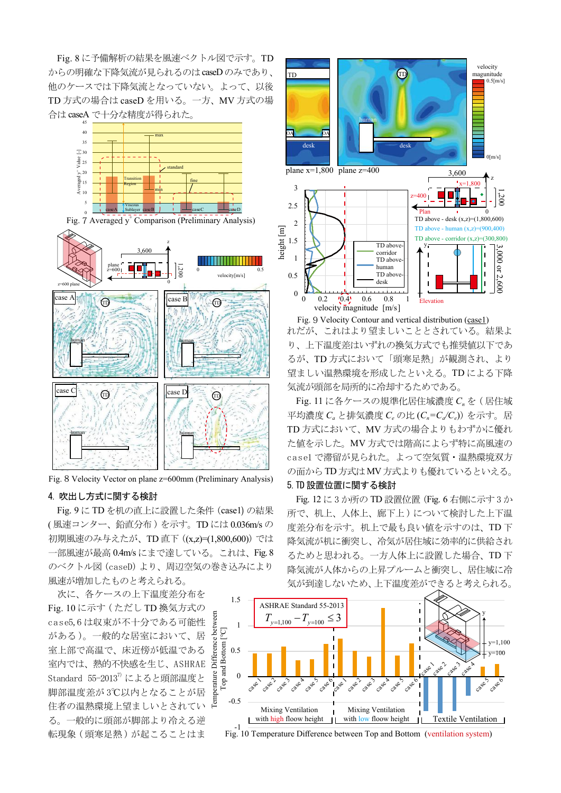Fig. 8 に予備解析の結果を風速ベクトル図で示す。TD からの明確な下降気流が見られるのはcaseDのみであり、 他のケースでは下降気流となっていない。よって、以後 TD方式の場合は caseD を用いる。一方、MV 方式の場 合は caseA で十分な精度が得られた。



Fig. 7 Averaged y<sup>+</sup> Comparison (Preliminary Analysis)



Fig. 8 Velocity Vector on plane z=600mm (Preliminary Analysis)

#### 4. 吹出し方式に関する検討

Fig. 9 に TD を机の直上に設置した条件 (case1) の結果 (風速コンター、鉛直分布)を示す。TDには0.036m/sの 初期風速のみ与えたが、TD直下 ((x,z)=(1,800,600)) では 一部風速が最高 0.4m/s にまで達している。これは、Fig. 8 のベクトル図 (caseD) より、周辺空気の巻き込みにより 風速が増加したものと考えられる。

次に、各ケースの上下温度差分布を Fig. 10 に示す (ただし TD 換気方式の case5,6は収束が不十分である可能性 がある)。一般的な居室において、居 室上部で高温で、床近傍が低温である 室内では、熱的不快感を生じ、ASHRAE Standard  $55-2013^7$  によると頭部温度と 脚部温度差が3℃以内となることが居 住者の温熱環境上望ましいとされてい る。一般的に頭部が脚部より冷える逆 転現象 (頭寒足熱) が起こることはま



Fig. 9 Velocity Contour and vertical distribution (case1) れだが、これはより望ましいこととされている。結果よ り、上下温度差はいずれの換気方式でも推奨値以下であ るが、TD方式において「頭寒足熱」が観測され、より 望ましい温熱環境を形成したといえる。TDによる下降 。気流が頭部を局所的に冷却するためである

Fig. 11 に各ケースの規準化居住域濃度 C<sub>n</sub> を ( 居住域 平均濃度  $C_a$  と排気濃度  $C_e$  の比  $(C_n = C_a/C_e)$ ) を示す。居 TD 方式において、MV 方式の場合よりもわずかに優れ た値を示した。MV方式では階高によらず特に高風速の casel で滞留が見られた。よって空気質·温熱環境双方 の面からTD方式はMV方式よりも優れているといえる。

## 5. TD 設置位置に関する検討

Fig. 12 に 3 か所の TD 設置位置 (Fig. 6 右側に示す 3 か 所で、机上、人体上、廊下上)について検討した上下温 度差分布を示す。机上で最も良い値を示すのは、TD下 降気流が机に衝突し、冷気が居住域に効率的に供給され るためと思われる。一方人体上に設置した場合、TD下 降気流が人体からの上昇プルームと衝突し、居住域に冷 気が到達しないため、上下温度差ができると考えられる。



Fig. 10 Temperature Difference between Top and Bottom (ventilation system)